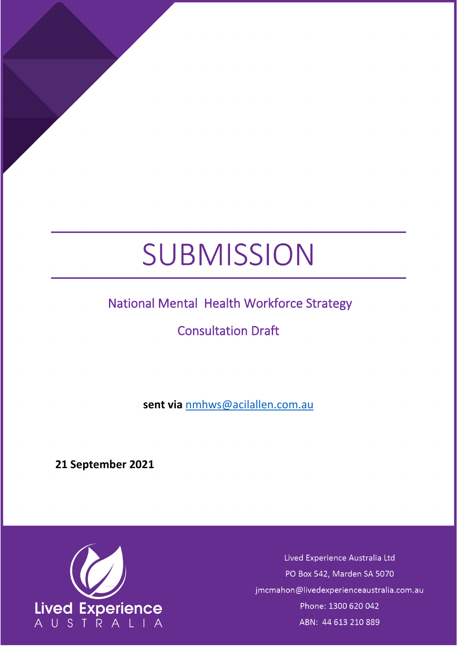# SUBMISSION

# National Mental Health Workforce Strategy

# Consultation Draft

**sent via** [nmhws@acilallen.com.au](mailto:nmhws@acilallen.com.au)

**21 September 2021**



Lived Experience Australia Ltd PO Box 542, Marden SA 5070 jmcmahon@livedexperienceaustralia.com.au Phone: 1300 620 042 ABN: 44 613 210 889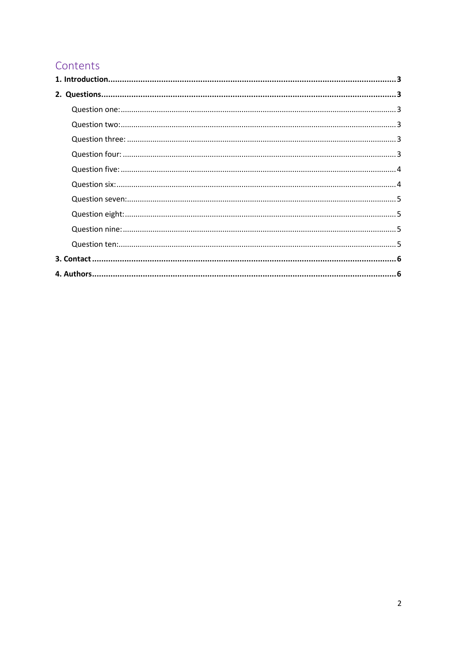# Contents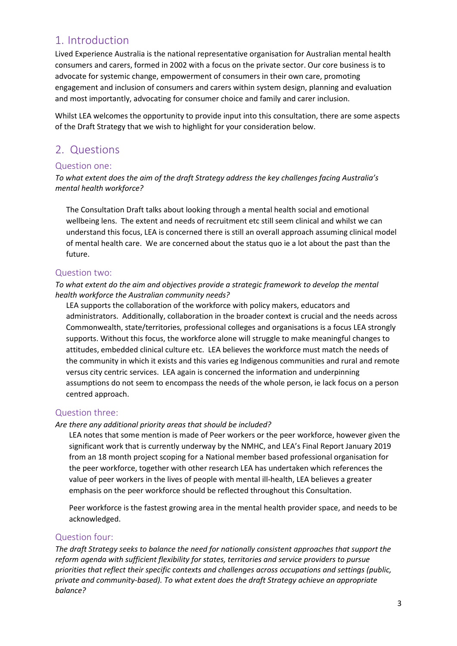## <span id="page-2-0"></span>1. Introduction

Lived Experience Australia is the national representative organisation for Australian mental health consumers and carers, formed in 2002 with a focus on the private sector. Our core business is to advocate for systemic change, empowerment of consumers in their own care, promoting engagement and inclusion of consumers and carers within system design, planning and evaluation and most importantly, advocating for consumer choice and family and carer inclusion.

Whilst LEA welcomes the opportunity to provide input into this consultation, there are some aspects of the Draft Strategy that we wish to highlight for your consideration below.

## <span id="page-2-1"></span>2. Questions

#### <span id="page-2-2"></span>Question one:

*To what extent does the aim of the draft Strategy address the key challenges facing Australia's mental health workforce?* 

The Consultation Draft talks about looking through a mental health social and emotional wellbeing lens. The extent and needs of recruitment etc still seem clinical and whilst we can understand this focus, LEA is concerned there is still an overall approach assuming clinical model of mental health care. We are concerned about the status quo ie a lot about the past than the future.

#### <span id="page-2-3"></span>Question two:

*To what extent do the aim and objectives provide a strategic framework to develop the mental health workforce the Australian community needs?*

LEA supports the collaboration of the workforce with policy makers, educators and administrators. Additionally, collaboration in the broader context is crucial and the needs across Commonwealth, state/territories, professional colleges and organisations is a focus LEA strongly supports. Without this focus, the workforce alone will struggle to make meaningful changes to attitudes, embedded clinical culture etc. LEA believes the workforce must match the needs of the community in which it exists and this varies eg Indigenous communities and rural and remote versus city centric services. LEA again is concerned the information and underpinning assumptions do not seem to encompass the needs of the whole person, ie lack focus on a person centred approach.

#### <span id="page-2-4"></span>Question three:

#### *Are there any additional priority areas that should be included?*

LEA notes that some mention is made of Peer workers or the peer workforce, however given the significant work that is currently underway by the NMHC, and LEA's Final Report January 2019 from an 18 month project scoping for a National member based professional organisation for the peer workforce, together with other research LEA has undertaken which references the value of peer workers in the lives of people with mental ill-health, LEA believes a greater emphasis on the peer workforce should be reflected throughout this Consultation.

Peer workforce is the fastest growing area in the mental health provider space, and needs to be acknowledged.

#### <span id="page-2-5"></span>Question four:

*The draft Strategy seeks to balance the need for nationally consistent approaches that support the reform agenda with sufficient flexibility for states, territories and service providers to pursue priorities that reflect their specific contexts and challenges across occupations and settings (public, private and community-based). To what extent does the draft Strategy achieve an appropriate balance?*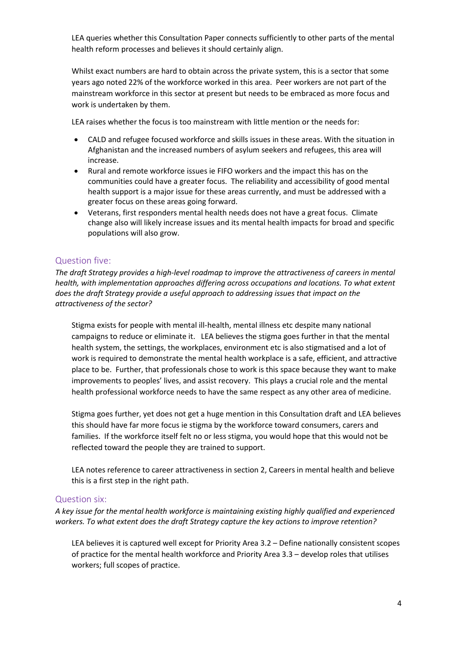LEA queries whether this Consultation Paper connects sufficiently to other parts of the mental health reform processes and believes it should certainly align.

Whilst exact numbers are hard to obtain across the private system, this is a sector that some years ago noted 22% of the workforce worked in this area. Peer workers are not part of the mainstream workforce in this sector at present but needs to be embraced as more focus and work is undertaken by them.

LEA raises whether the focus is too mainstream with little mention or the needs for:

- CALD and refugee focused workforce and skills issues in these areas. With the situation in Afghanistan and the increased numbers of asylum seekers and refugees, this area will increase.
- Rural and remote workforce issues ie FIFO workers and the impact this has on the communities could have a greater focus. The reliability and accessibility of good mental health support is a major issue for these areas currently, and must be addressed with a greater focus on these areas going forward.
- Veterans, first responders mental health needs does not have a great focus. Climate change also will likely increase issues and its mental health impacts for broad and specific populations will also grow.

#### <span id="page-3-0"></span>Question five:

*The draft Strategy provides a high-level roadmap to improve the attractiveness of careers in mental health, with implementation approaches differing across occupations and locations. To what extent does the draft Strategy provide a useful approach to addressing issues that impact on the attractiveness of the sector?* 

Stigma exists for people with mental ill-health, mental illness etc despite many national campaigns to reduce or eliminate it. LEA believes the stigma goes further in that the mental health system, the settings, the workplaces, environment etc is also stigmatised and a lot of work is required to demonstrate the mental health workplace is a safe, efficient, and attractive place to be. Further, that professionals chose to work is this space because they want to make improvements to peoples' lives, and assist recovery. This plays a crucial role and the mental health professional workforce needs to have the same respect as any other area of medicine.

Stigma goes further, yet does not get a huge mention in this Consultation draft and LEA believes this should have far more focus ie stigma by the workforce toward consumers, carers and families. If the workforce itself felt no or less stigma, you would hope that this would not be reflected toward the people they are trained to support.

LEA notes reference to career attractiveness in section 2, Careers in mental health and believe this is a first step in the right path.

#### <span id="page-3-1"></span>Question six:

*A key issue for the mental health workforce is maintaining existing highly qualified and experienced workers. To what extent does the draft Strategy capture the key actions to improve retention?*

LEA believes it is captured well except for Priority Area 3.2 – Define nationally consistent scopes of practice for the mental health workforce and Priority Area 3.3 – develop roles that utilises workers; full scopes of practice.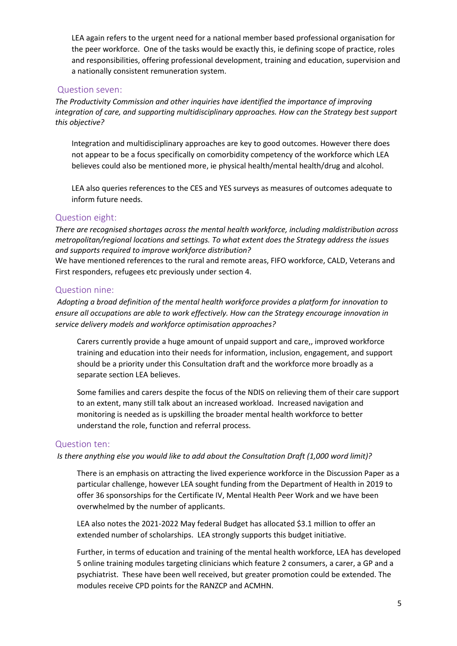LEA again refers to the urgent need for a national member based professional organisation for the peer workforce. One of the tasks would be exactly this, ie defining scope of practice, roles and responsibilities, offering professional development, training and education, supervision and a nationally consistent remuneration system.

#### <span id="page-4-0"></span>Question seven:

*The Productivity Commission and other inquiries have identified the importance of improving integration of care, and supporting multidisciplinary approaches. How can the Strategy best support this objective?*

Integration and multidisciplinary approaches are key to good outcomes. However there does not appear to be a focus specifically on comorbidity competency of the workforce which LEA believes could also be mentioned more, ie physical health/mental health/drug and alcohol.

LEA also queries references to the CES and YES surveys as measures of outcomes adequate to inform future needs.

#### <span id="page-4-1"></span>Question eight:

*There are recognised shortages across the mental health workforce, including maldistribution across metropolitan/regional locations and settings. To what extent does the Strategy address the issues and supports required to improve workforce distribution?* 

We have mentioned references to the rural and remote areas, FIFO workforce, CALD, Veterans and First responders, refugees etc previously under section 4.

#### <span id="page-4-2"></span>Question nine:

*Adopting a broad definition of the mental health workforce provides a platform for innovation to ensure all occupations are able to work effectively. How can the Strategy encourage innovation in service delivery models and workforce optimisation approaches?*

Carers currently provide a huge amount of unpaid support and care,, improved workforce training and education into their needs for information, inclusion, engagement, and support should be a priority under this Consultation draft and the workforce more broadly as a separate section LEA believes.

Some families and carers despite the focus of the NDIS on relieving them of their care support to an extent, many still talk about an increased workload. Increased navigation and monitoring is needed as is upskilling the broader mental health workforce to better understand the role, function and referral process.

#### <span id="page-4-3"></span>Question ten:

*Is there anything else you would like to add about the Consultation Draft (1,000 word limit)?*

There is an emphasis on attracting the lived experience workforce in the Discussion Paper as a particular challenge, however LEA sought funding from the Department of Health in 2019 to offer 36 sponsorships for the Certificate IV, Mental Health Peer Work and we have been overwhelmed by the number of applicants.

LEA also notes the 2021-2022 May federal Budget has allocated \$3.1 million to offer an extended number of scholarships. LEA strongly supports this budget initiative.

Further, in terms of education and training of the mental health workforce, LEA has developed 5 online training modules targeting clinicians which feature 2 consumers, a carer, a GP and a psychiatrist. These have been well received, but greater promotion could be extended. The modules receive CPD points for the RANZCP and ACMHN.